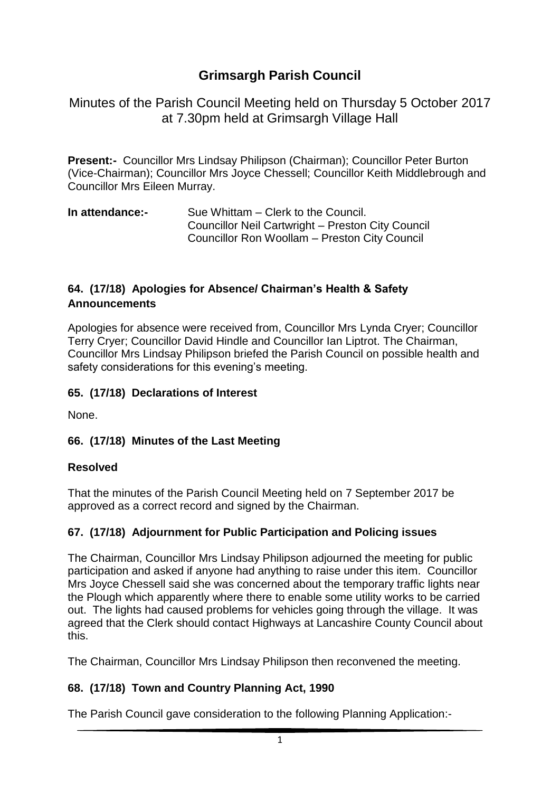# **Grimsargh Parish Council**

Minutes of the Parish Council Meeting held on Thursday 5 October 2017 at 7.30pm held at Grimsargh Village Hall

**Present:-** Councillor Mrs Lindsay Philipson (Chairman); Councillor Peter Burton (Vice-Chairman); Councillor Mrs Joyce Chessell; Councillor Keith Middlebrough and Councillor Mrs Eileen Murray.

**In attendance:-** Sue Whittam – Clerk to the Council. Councillor Neil Cartwright – Preston City Council Councillor Ron Woollam – Preston City Council

#### **64. (17/18) Apologies for Absence/ Chairman's Health & Safety Announcements**

Apologies for absence were received from, Councillor Mrs Lynda Cryer; Councillor Terry Cryer; Councillor David Hindle and Councillor Ian Liptrot. The Chairman, Councillor Mrs Lindsay Philipson briefed the Parish Council on possible health and safety considerations for this evening's meeting.

#### **65. (17/18) Declarations of Interest**

None.

#### **66. (17/18) Minutes of the Last Meeting**

#### **Resolved**

That the minutes of the Parish Council Meeting held on 7 September 2017 be approved as a correct record and signed by the Chairman.

#### **67. (17/18) Adjournment for Public Participation and Policing issues**

The Chairman, Councillor Mrs Lindsay Philipson adjourned the meeting for public participation and asked if anyone had anything to raise under this item. Councillor Mrs Joyce Chessell said she was concerned about the temporary traffic lights near the Plough which apparently where there to enable some utility works to be carried out. The lights had caused problems for vehicles going through the village. It was agreed that the Clerk should contact Highways at Lancashire County Council about this.

The Chairman, Councillor Mrs Lindsay Philipson then reconvened the meeting.

## **68. (17/18) Town and Country Planning Act, 1990**

The Parish Council gave consideration to the following Planning Application:-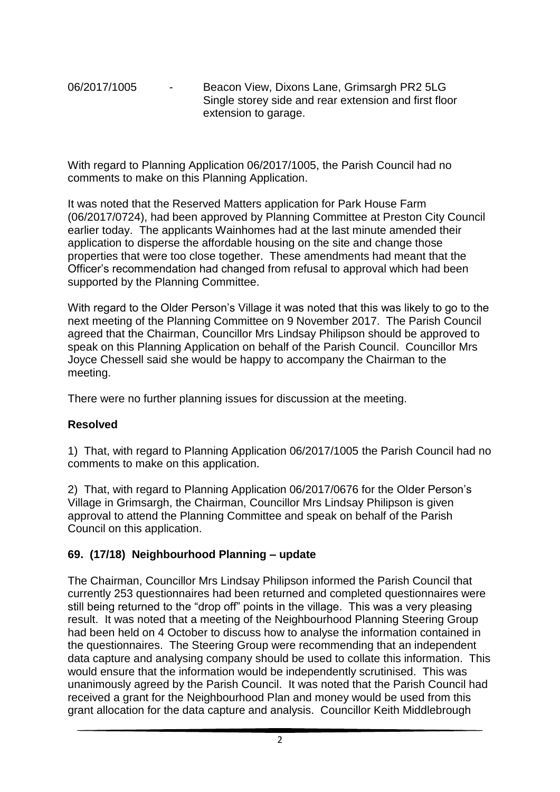06/2017/1005 - Beacon View, Dixons Lane, Grimsargh PR2 5LG Single storey side and rear extension and first floor extension to garage.

With regard to Planning Application 06/2017/1005, the Parish Council had no comments to make on this Planning Application.

It was noted that the Reserved Matters application for Park House Farm (06/2017/0724), had been approved by Planning Committee at Preston City Council earlier today. The applicants Wainhomes had at the last minute amended their application to disperse the affordable housing on the site and change those properties that were too close together. These amendments had meant that the Officer's recommendation had changed from refusal to approval which had been supported by the Planning Committee.

With regard to the Older Person's Village it was noted that this was likely to go to the next meeting of the Planning Committee on 9 November 2017. The Parish Council agreed that the Chairman, Councillor Mrs Lindsay Philipson should be approved to speak on this Planning Application on behalf of the Parish Council. Councillor Mrs Joyce Chessell said she would be happy to accompany the Chairman to the meeting.

There were no further planning issues for discussion at the meeting.

#### **Resolved**

1) That, with regard to Planning Application 06/2017/1005 the Parish Council had no comments to make on this application.

2) That, with regard to Planning Application 06/2017/0676 for the Older Person's Village in Grimsargh, the Chairman, Councillor Mrs Lindsay Philipson is given approval to attend the Planning Committee and speak on behalf of the Parish Council on this application.

#### **69. (17/18) Neighbourhood Planning – update**

The Chairman, Councillor Mrs Lindsay Philipson informed the Parish Council that currently 253 questionnaires had been returned and completed questionnaires were still being returned to the "drop off" points in the village. This was a very pleasing result. It was noted that a meeting of the Neighbourhood Planning Steering Group had been held on 4 October to discuss how to analyse the information contained in the questionnaires. The Steering Group were recommending that an independent data capture and analysing company should be used to collate this information. This would ensure that the information would be independently scrutinised. This was unanimously agreed by the Parish Council. It was noted that the Parish Council had received a grant for the Neighbourhood Plan and money would be used from this grant allocation for the data capture and analysis. Councillor Keith Middlebrough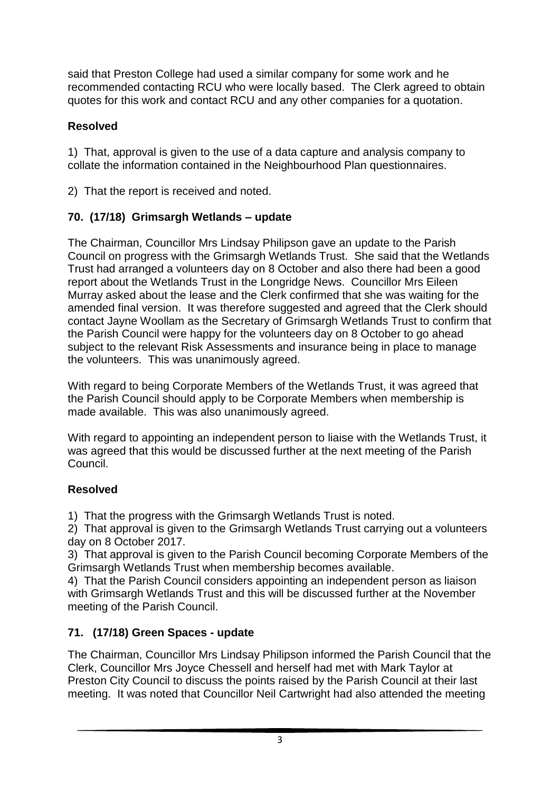said that Preston College had used a similar company for some work and he recommended contacting RCU who were locally based. The Clerk agreed to obtain quotes for this work and contact RCU and any other companies for a quotation.

## **Resolved**

1) That, approval is given to the use of a data capture and analysis company to collate the information contained in the Neighbourhood Plan questionnaires.

2) That the report is received and noted.

## **70. (17/18) Grimsargh Wetlands – update**

The Chairman, Councillor Mrs Lindsay Philipson gave an update to the Parish Council on progress with the Grimsargh Wetlands Trust. She said that the Wetlands Trust had arranged a volunteers day on 8 October and also there had been a good report about the Wetlands Trust in the Longridge News. Councillor Mrs Eileen Murray asked about the lease and the Clerk confirmed that she was waiting for the amended final version. It was therefore suggested and agreed that the Clerk should contact Jayne Woollam as the Secretary of Grimsargh Wetlands Trust to confirm that the Parish Council were happy for the volunteers day on 8 October to go ahead subject to the relevant Risk Assessments and insurance being in place to manage the volunteers. This was unanimously agreed.

With regard to being Corporate Members of the Wetlands Trust, it was agreed that the Parish Council should apply to be Corporate Members when membership is made available. This was also unanimously agreed.

With regard to appointing an independent person to liaise with the Wetlands Trust, it was agreed that this would be discussed further at the next meeting of the Parish Council.

## **Resolved**

1) That the progress with the Grimsargh Wetlands Trust is noted.

2) That approval is given to the Grimsargh Wetlands Trust carrying out a volunteers day on 8 October 2017.

3) That approval is given to the Parish Council becoming Corporate Members of the Grimsargh Wetlands Trust when membership becomes available.

4) That the Parish Council considers appointing an independent person as liaison with Grimsargh Wetlands Trust and this will be discussed further at the November meeting of the Parish Council.

## **71. (17/18) Green Spaces - update**

The Chairman, Councillor Mrs Lindsay Philipson informed the Parish Council that the Clerk, Councillor Mrs Joyce Chessell and herself had met with Mark Taylor at Preston City Council to discuss the points raised by the Parish Council at their last meeting. It was noted that Councillor Neil Cartwright had also attended the meeting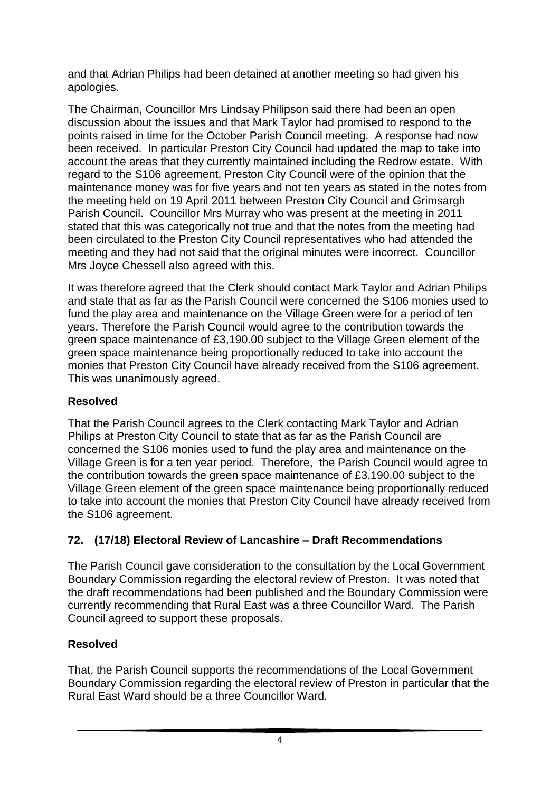and that Adrian Philips had been detained at another meeting so had given his apologies.

The Chairman, Councillor Mrs Lindsay Philipson said there had been an open discussion about the issues and that Mark Taylor had promised to respond to the points raised in time for the October Parish Council meeting. A response had now been received. In particular Preston City Council had updated the map to take into account the areas that they currently maintained including the Redrow estate. With regard to the S106 agreement, Preston City Council were of the opinion that the maintenance money was for five years and not ten years as stated in the notes from the meeting held on 19 April 2011 between Preston City Council and Grimsargh Parish Council. Councillor Mrs Murray who was present at the meeting in 2011 stated that this was categorically not true and that the notes from the meeting had been circulated to the Preston City Council representatives who had attended the meeting and they had not said that the original minutes were incorrect. Councillor Mrs Joyce Chessell also agreed with this.

It was therefore agreed that the Clerk should contact Mark Taylor and Adrian Philips and state that as far as the Parish Council were concerned the S106 monies used to fund the play area and maintenance on the Village Green were for a period of ten years. Therefore the Parish Council would agree to the contribution towards the green space maintenance of £3,190.00 subject to the Village Green element of the green space maintenance being proportionally reduced to take into account the monies that Preston City Council have already received from the S106 agreement. This was unanimously agreed.

#### **Resolved**

That the Parish Council agrees to the Clerk contacting Mark Taylor and Adrian Philips at Preston City Council to state that as far as the Parish Council are concerned the S106 monies used to fund the play area and maintenance on the Village Green is for a ten year period. Therefore, the Parish Council would agree to the contribution towards the green space maintenance of £3,190.00 subject to the Village Green element of the green space maintenance being proportionally reduced to take into account the monies that Preston City Council have already received from the S106 agreement.

## **72. (17/18) Electoral Review of Lancashire – Draft Recommendations**

The Parish Council gave consideration to the consultation by the Local Government Boundary Commission regarding the electoral review of Preston. It was noted that the draft recommendations had been published and the Boundary Commission were currently recommending that Rural East was a three Councillor Ward. The Parish Council agreed to support these proposals.

## **Resolved**

That, the Parish Council supports the recommendations of the Local Government Boundary Commission regarding the electoral review of Preston in particular that the Rural East Ward should be a three Councillor Ward.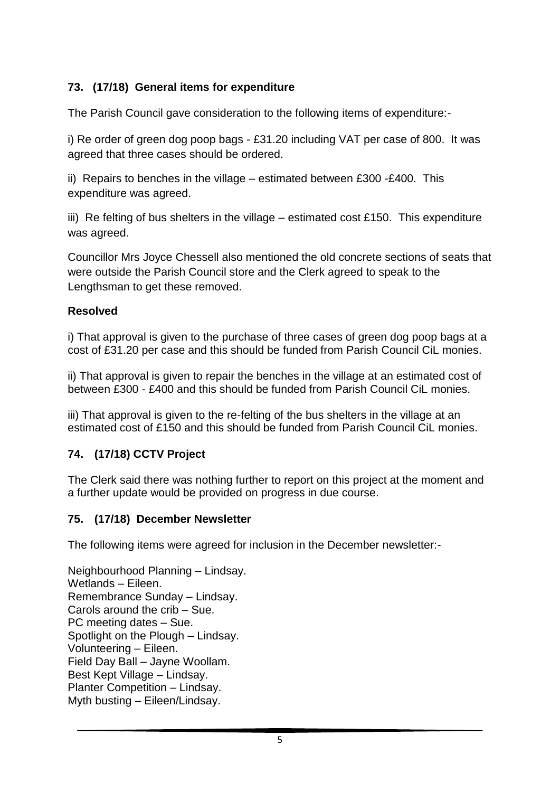## **73. (17/18) General items for expenditure**

The Parish Council gave consideration to the following items of expenditure:-

i) Re order of green dog poop bags - £31.20 including VAT per case of 800. It was agreed that three cases should be ordered.

ii) Repairs to benches in the village – estimated between £300 -£400. This expenditure was agreed.

iii) Re felting of bus shelters in the village – estimated cost £150. This expenditure was agreed.

Councillor Mrs Joyce Chessell also mentioned the old concrete sections of seats that were outside the Parish Council store and the Clerk agreed to speak to the Lengthsman to get these removed.

## **Resolved**

i) That approval is given to the purchase of three cases of green dog poop bags at a cost of £31.20 per case and this should be funded from Parish Council CiL monies.

ii) That approval is given to repair the benches in the village at an estimated cost of between £300 - £400 and this should be funded from Parish Council CiL monies.

iii) That approval is given to the re-felting of the bus shelters in the village at an estimated cost of £150 and this should be funded from Parish Council CiL monies.

## **74. (17/18) CCTV Project**

The Clerk said there was nothing further to report on this project at the moment and a further update would be provided on progress in due course.

## **75. (17/18) December Newsletter**

The following items were agreed for inclusion in the December newsletter:-

Neighbourhood Planning – Lindsay. Wetlands – Eileen. Remembrance Sunday – Lindsay. Carols around the crib – Sue. PC meeting dates – Sue. Spotlight on the Plough – Lindsay. Volunteering – Eileen. Field Day Ball – Jayne Woollam. Best Kept Village – Lindsay. Planter Competition – Lindsay. Myth busting – Eileen/Lindsay.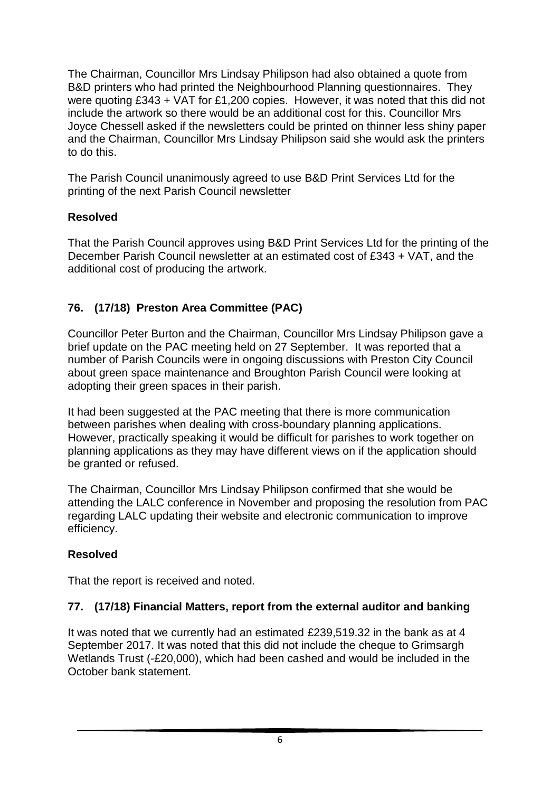The Chairman, Councillor Mrs Lindsay Philipson had also obtained a quote from B&D printers who had printed the Neighbourhood Planning questionnaires. They were quoting £343 + VAT for £1,200 copies. However, it was noted that this did not include the artwork so there would be an additional cost for this. Councillor Mrs Joyce Chessell asked if the newsletters could be printed on thinner less shiny paper and the Chairman, Councillor Mrs Lindsay Philipson said she would ask the printers to do this.

The Parish Council unanimously agreed to use B&D Print Services Ltd for the printing of the next Parish Council newsletter

#### **Resolved**

That the Parish Council approves using B&D Print Services Ltd for the printing of the December Parish Council newsletter at an estimated cost of £343 + VAT, and the additional cost of producing the artwork.

## **76. (17/18) Preston Area Committee (PAC)**

Councillor Peter Burton and the Chairman, Councillor Mrs Lindsay Philipson gave a brief update on the PAC meeting held on 27 September. It was reported that a number of Parish Councils were in ongoing discussions with Preston City Council about green space maintenance and Broughton Parish Council were looking at adopting their green spaces in their parish.

It had been suggested at the PAC meeting that there is more communication between parishes when dealing with cross-boundary planning applications. However, practically speaking it would be difficult for parishes to work together on planning applications as they may have different views on if the application should be granted or refused.

The Chairman, Councillor Mrs Lindsay Philipson confirmed that she would be attending the LALC conference in November and proposing the resolution from PAC regarding LALC updating their website and electronic communication to improve efficiency.

#### **Resolved**

That the report is received and noted.

#### **77. (17/18) Financial Matters, report from the external auditor and banking**

It was noted that we currently had an estimated £239,519.32 in the bank as at 4 September 2017. It was noted that this did not include the cheque to Grimsargh Wetlands Trust (-£20,000), which had been cashed and would be included in the October bank statement.